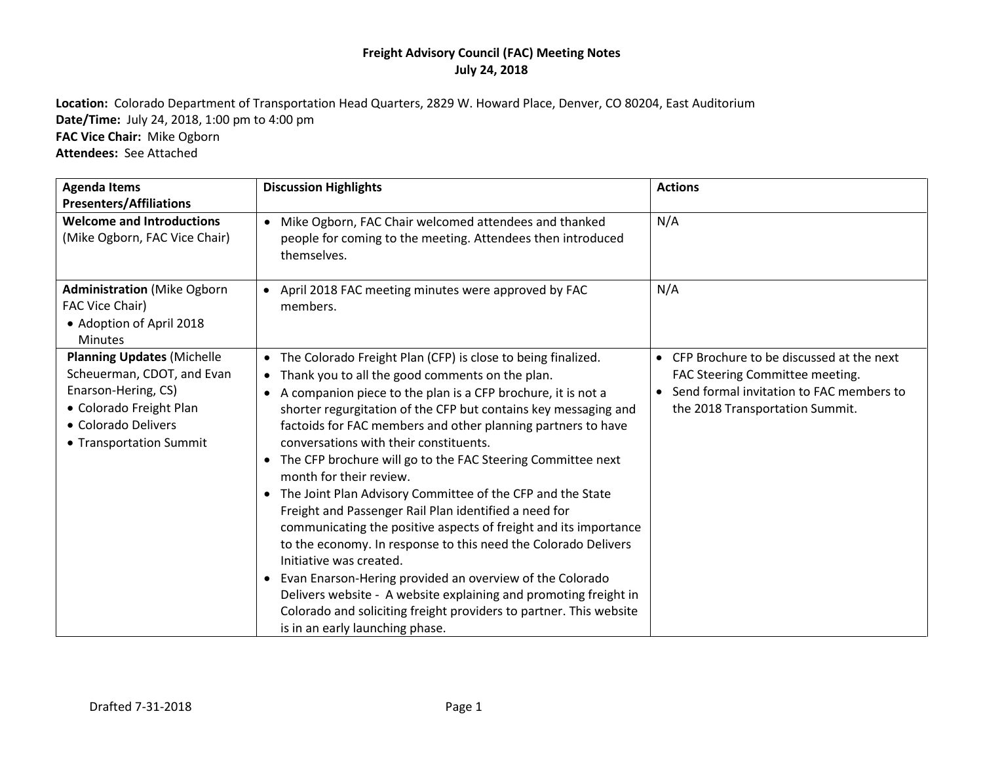**Location:** Colorado Department of Transportation Head Quarters, 2829 W. Howard Place, Denver, CO 80204, East Auditorium **Date/Time:** July 24, 2018, 1:00 pm to 4:00 pm **FAC Vice Chair:** Mike Ogborn **Attendees:** See Attached

| <b>Agenda Items</b><br><b>Presenters/Affiliations</b>                                                                                                               | <b>Discussion Highlights</b>                                                                                                                                                                                                                                                                                                                                                                                                                                                                                                                                                                                                                                                                                                                                                                                                                                                                                                                                                                                                            | <b>Actions</b>                                                                                                                                               |
|---------------------------------------------------------------------------------------------------------------------------------------------------------------------|-----------------------------------------------------------------------------------------------------------------------------------------------------------------------------------------------------------------------------------------------------------------------------------------------------------------------------------------------------------------------------------------------------------------------------------------------------------------------------------------------------------------------------------------------------------------------------------------------------------------------------------------------------------------------------------------------------------------------------------------------------------------------------------------------------------------------------------------------------------------------------------------------------------------------------------------------------------------------------------------------------------------------------------------|--------------------------------------------------------------------------------------------------------------------------------------------------------------|
| <b>Welcome and Introductions</b><br>(Mike Ogborn, FAC Vice Chair)                                                                                                   | • Mike Ogborn, FAC Chair welcomed attendees and thanked<br>people for coming to the meeting. Attendees then introduced<br>themselves.                                                                                                                                                                                                                                                                                                                                                                                                                                                                                                                                                                                                                                                                                                                                                                                                                                                                                                   | N/A                                                                                                                                                          |
| <b>Administration</b> (Mike Ogborn<br>FAC Vice Chair)<br>• Adoption of April 2018<br><b>Minutes</b>                                                                 | April 2018 FAC meeting minutes were approved by FAC<br>$\bullet$<br>members.                                                                                                                                                                                                                                                                                                                                                                                                                                                                                                                                                                                                                                                                                                                                                                                                                                                                                                                                                            | N/A                                                                                                                                                          |
| <b>Planning Updates (Michelle</b><br>Scheuerman, CDOT, and Evan<br>Enarson-Hering, CS)<br>• Colorado Freight Plan<br>• Colorado Delivers<br>• Transportation Summit | • The Colorado Freight Plan (CFP) is close to being finalized.<br>Thank you to all the good comments on the plan.<br>٠<br>A companion piece to the plan is a CFP brochure, it is not a<br>$\bullet$<br>shorter regurgitation of the CFP but contains key messaging and<br>factoids for FAC members and other planning partners to have<br>conversations with their constituents.<br>• The CFP brochure will go to the FAC Steering Committee next<br>month for their review.<br>The Joint Plan Advisory Committee of the CFP and the State<br>$\bullet$<br>Freight and Passenger Rail Plan identified a need for<br>communicating the positive aspects of freight and its importance<br>to the economy. In response to this need the Colorado Delivers<br>Initiative was created.<br>Evan Enarson-Hering provided an overview of the Colorado<br>$\bullet$<br>Delivers website - A website explaining and promoting freight in<br>Colorado and soliciting freight providers to partner. This website<br>is in an early launching phase. | • CFP Brochure to be discussed at the next<br>FAC Steering Committee meeting.<br>Send formal invitation to FAC members to<br>the 2018 Transportation Summit. |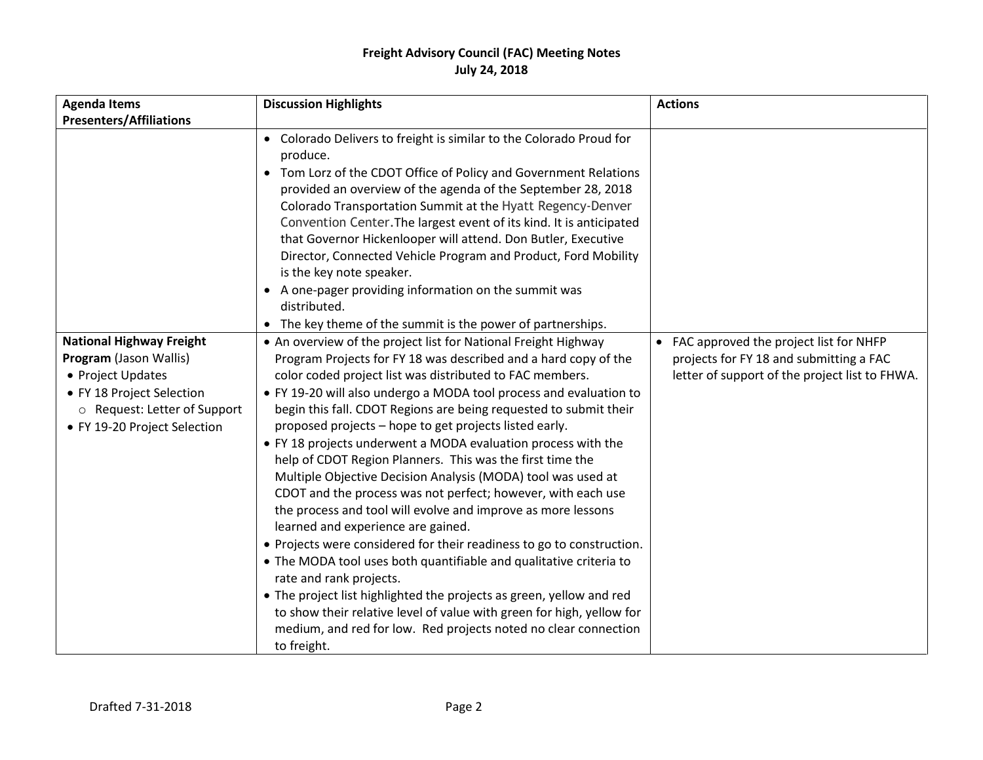| <b>Agenda Items</b>                                                                                                                                                         | <b>Discussion Highlights</b>                                                                                                                                                                                                                                                                                                                                                                                                                                                                                                                                                                                                                                                                                                                                                                                                                                                                                                                                                                                                                                                                                                                                                        | <b>Actions</b>                                                                                                                        |
|-----------------------------------------------------------------------------------------------------------------------------------------------------------------------------|-------------------------------------------------------------------------------------------------------------------------------------------------------------------------------------------------------------------------------------------------------------------------------------------------------------------------------------------------------------------------------------------------------------------------------------------------------------------------------------------------------------------------------------------------------------------------------------------------------------------------------------------------------------------------------------------------------------------------------------------------------------------------------------------------------------------------------------------------------------------------------------------------------------------------------------------------------------------------------------------------------------------------------------------------------------------------------------------------------------------------------------------------------------------------------------|---------------------------------------------------------------------------------------------------------------------------------------|
| <b>Presenters/Affiliations</b>                                                                                                                                              |                                                                                                                                                                                                                                                                                                                                                                                                                                                                                                                                                                                                                                                                                                                                                                                                                                                                                                                                                                                                                                                                                                                                                                                     |                                                                                                                                       |
|                                                                                                                                                                             | • Colorado Delivers to freight is similar to the Colorado Proud for<br>produce.<br>• Tom Lorz of the CDOT Office of Policy and Government Relations<br>provided an overview of the agenda of the September 28, 2018<br>Colorado Transportation Summit at the Hyatt Regency-Denver<br>Convention Center. The largest event of its kind. It is anticipated<br>that Governor Hickenlooper will attend. Don Butler, Executive<br>Director, Connected Vehicle Program and Product, Ford Mobility<br>is the key note speaker.<br>• A one-pager providing information on the summit was<br>distributed.<br>• The key theme of the summit is the power of partnerships.                                                                                                                                                                                                                                                                                                                                                                                                                                                                                                                     |                                                                                                                                       |
| <b>National Highway Freight</b><br>Program (Jason Wallis)<br>• Project Updates<br>• FY 18 Project Selection<br>O Request: Letter of Support<br>• FY 19-20 Project Selection | • An overview of the project list for National Freight Highway<br>Program Projects for FY 18 was described and a hard copy of the<br>color coded project list was distributed to FAC members.<br>• FY 19-20 will also undergo a MODA tool process and evaluation to<br>begin this fall. CDOT Regions are being requested to submit their<br>proposed projects - hope to get projects listed early.<br>• FY 18 projects underwent a MODA evaluation process with the<br>help of CDOT Region Planners. This was the first time the<br>Multiple Objective Decision Analysis (MODA) tool was used at<br>CDOT and the process was not perfect; however, with each use<br>the process and tool will evolve and improve as more lessons<br>learned and experience are gained.<br>• Projects were considered for their readiness to go to construction.<br>• The MODA tool uses both quantifiable and qualitative criteria to<br>rate and rank projects.<br>• The project list highlighted the projects as green, yellow and red<br>to show their relative level of value with green for high, yellow for<br>medium, and red for low. Red projects noted no clear connection<br>to freight. | • FAC approved the project list for NHFP<br>projects for FY 18 and submitting a FAC<br>letter of support of the project list to FHWA. |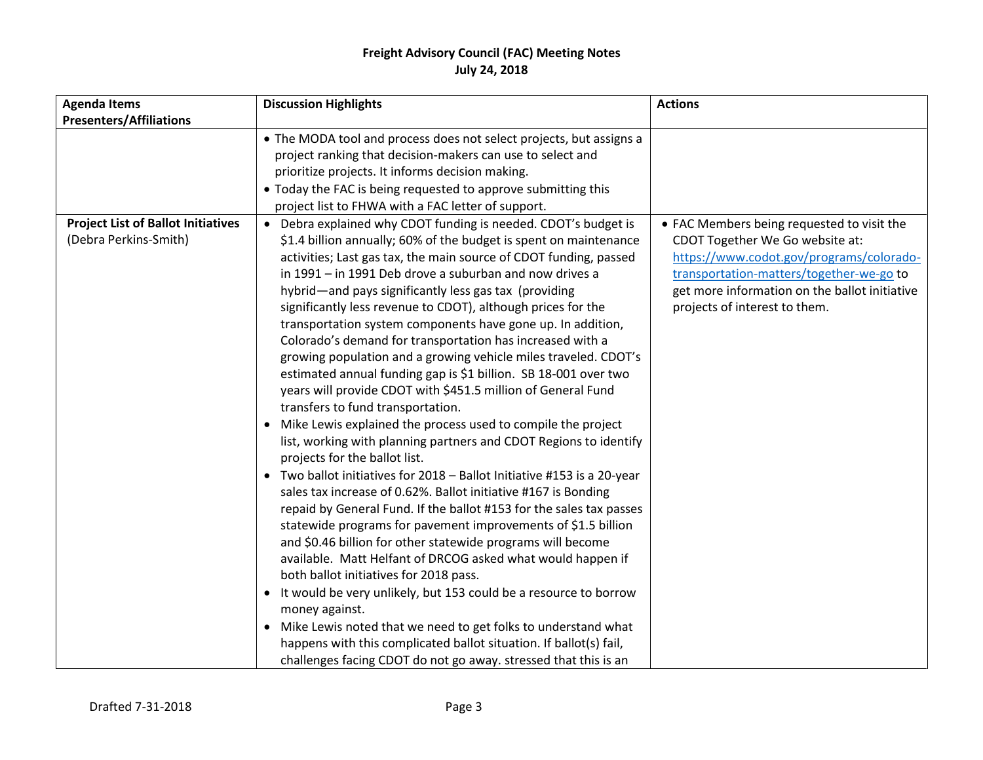| <b>Agenda Items</b>                                                | <b>Discussion Highlights</b>                                                                                                                                                                                                                                                                                                                                                                                                                                                                                                                                                                                                                                                                                                                                                                                                                                                                                                                                                                                                                                                                                                                                                                                                                                                                                                                                                                                                                                                                                                                                                              | <b>Actions</b>                                                                                                                                                                                                                                          |
|--------------------------------------------------------------------|-------------------------------------------------------------------------------------------------------------------------------------------------------------------------------------------------------------------------------------------------------------------------------------------------------------------------------------------------------------------------------------------------------------------------------------------------------------------------------------------------------------------------------------------------------------------------------------------------------------------------------------------------------------------------------------------------------------------------------------------------------------------------------------------------------------------------------------------------------------------------------------------------------------------------------------------------------------------------------------------------------------------------------------------------------------------------------------------------------------------------------------------------------------------------------------------------------------------------------------------------------------------------------------------------------------------------------------------------------------------------------------------------------------------------------------------------------------------------------------------------------------------------------------------------------------------------------------------|---------------------------------------------------------------------------------------------------------------------------------------------------------------------------------------------------------------------------------------------------------|
| <b>Presenters/Affiliations</b>                                     |                                                                                                                                                                                                                                                                                                                                                                                                                                                                                                                                                                                                                                                                                                                                                                                                                                                                                                                                                                                                                                                                                                                                                                                                                                                                                                                                                                                                                                                                                                                                                                                           |                                                                                                                                                                                                                                                         |
|                                                                    | • The MODA tool and process does not select projects, but assigns a<br>project ranking that decision-makers can use to select and<br>prioritize projects. It informs decision making.<br>• Today the FAC is being requested to approve submitting this<br>project list to FHWA with a FAC letter of support.                                                                                                                                                                                                                                                                                                                                                                                                                                                                                                                                                                                                                                                                                                                                                                                                                                                                                                                                                                                                                                                                                                                                                                                                                                                                              |                                                                                                                                                                                                                                                         |
| <b>Project List of Ballot Initiatives</b><br>(Debra Perkins-Smith) | Debra explained why CDOT funding is needed. CDOT's budget is<br>$\bullet$<br>\$1.4 billion annually; 60% of the budget is spent on maintenance<br>activities; Last gas tax, the main source of CDOT funding, passed<br>in 1991 - in 1991 Deb drove a suburban and now drives a<br>hybrid—and pays significantly less gas tax (providing<br>significantly less revenue to CDOT), although prices for the<br>transportation system components have gone up. In addition,<br>Colorado's demand for transportation has increased with a<br>growing population and a growing vehicle miles traveled. CDOT's<br>estimated annual funding gap is \$1 billion. SB 18-001 over two<br>years will provide CDOT with \$451.5 million of General Fund<br>transfers to fund transportation.<br>• Mike Lewis explained the process used to compile the project<br>list, working with planning partners and CDOT Regions to identify<br>projects for the ballot list.<br>• Two ballot initiatives for 2018 - Ballot Initiative #153 is a 20-year<br>sales tax increase of 0.62%. Ballot initiative #167 is Bonding<br>repaid by General Fund. If the ballot #153 for the sales tax passes<br>statewide programs for pavement improvements of \$1.5 billion<br>and \$0.46 billion for other statewide programs will become<br>available. Matt Helfant of DRCOG asked what would happen if<br>both ballot initiatives for 2018 pass.<br>• It would be very unlikely, but 153 could be a resource to borrow<br>money against.<br>Mike Lewis noted that we need to get folks to understand what<br>$\bullet$ | • FAC Members being requested to visit the<br>CDOT Together We Go website at:<br>https://www.codot.gov/programs/colorado-<br>transportation-matters/together-we-go to<br>get more information on the ballot initiative<br>projects of interest to them. |
|                                                                    | happens with this complicated ballot situation. If ballot(s) fail,<br>challenges facing CDOT do not go away. stressed that this is an                                                                                                                                                                                                                                                                                                                                                                                                                                                                                                                                                                                                                                                                                                                                                                                                                                                                                                                                                                                                                                                                                                                                                                                                                                                                                                                                                                                                                                                     |                                                                                                                                                                                                                                                         |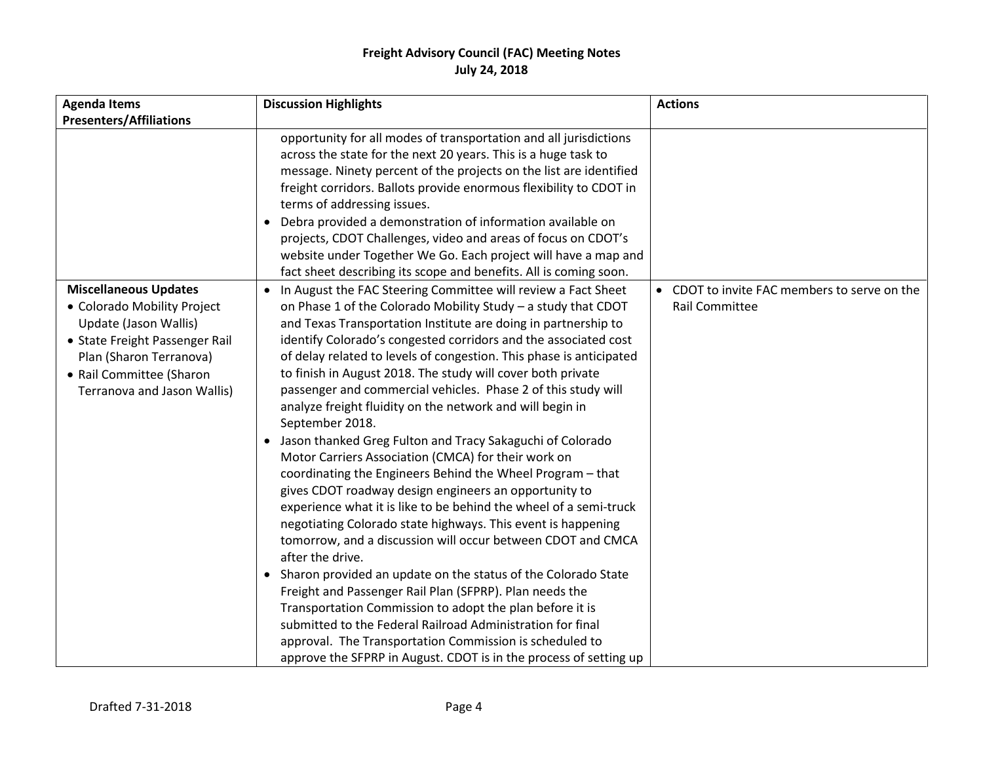| <b>Agenda Items</b>                                                                                                                                                                                          | <b>Discussion Highlights</b>                                                                                                                                                                                                                                                                                                                                                                                                                                                                                                                                                                                                                                                                                                                                                                                                                                                                                                                                                                                                                                                                                                                                                                                                                                                                                                                                                                                              | <b>Actions</b>                                                        |
|--------------------------------------------------------------------------------------------------------------------------------------------------------------------------------------------------------------|---------------------------------------------------------------------------------------------------------------------------------------------------------------------------------------------------------------------------------------------------------------------------------------------------------------------------------------------------------------------------------------------------------------------------------------------------------------------------------------------------------------------------------------------------------------------------------------------------------------------------------------------------------------------------------------------------------------------------------------------------------------------------------------------------------------------------------------------------------------------------------------------------------------------------------------------------------------------------------------------------------------------------------------------------------------------------------------------------------------------------------------------------------------------------------------------------------------------------------------------------------------------------------------------------------------------------------------------------------------------------------------------------------------------------|-----------------------------------------------------------------------|
| <b>Presenters/Affiliations</b>                                                                                                                                                                               |                                                                                                                                                                                                                                                                                                                                                                                                                                                                                                                                                                                                                                                                                                                                                                                                                                                                                                                                                                                                                                                                                                                                                                                                                                                                                                                                                                                                                           |                                                                       |
|                                                                                                                                                                                                              | opportunity for all modes of transportation and all jurisdictions<br>across the state for the next 20 years. This is a huge task to<br>message. Ninety percent of the projects on the list are identified<br>freight corridors. Ballots provide enormous flexibility to CDOT in<br>terms of addressing issues.<br>• Debra provided a demonstration of information available on<br>projects, CDOT Challenges, video and areas of focus on CDOT's<br>website under Together We Go. Each project will have a map and<br>fact sheet describing its scope and benefits. All is coming soon.                                                                                                                                                                                                                                                                                                                                                                                                                                                                                                                                                                                                                                                                                                                                                                                                                                    |                                                                       |
| <b>Miscellaneous Updates</b><br>• Colorado Mobility Project<br>Update (Jason Wallis)<br>• State Freight Passenger Rail<br>Plan (Sharon Terranova)<br>• Rail Committee (Sharon<br>Terranova and Jason Wallis) | • In August the FAC Steering Committee will review a Fact Sheet<br>on Phase 1 of the Colorado Mobility Study - a study that CDOT<br>and Texas Transportation Institute are doing in partnership to<br>identify Colorado's congested corridors and the associated cost<br>of delay related to levels of congestion. This phase is anticipated<br>to finish in August 2018. The study will cover both private<br>passenger and commercial vehicles. Phase 2 of this study will<br>analyze freight fluidity on the network and will begin in<br>September 2018.<br>• Jason thanked Greg Fulton and Tracy Sakaguchi of Colorado<br>Motor Carriers Association (CMCA) for their work on<br>coordinating the Engineers Behind the Wheel Program - that<br>gives CDOT roadway design engineers an opportunity to<br>experience what it is like to be behind the wheel of a semi-truck<br>negotiating Colorado state highways. This event is happening<br>tomorrow, and a discussion will occur between CDOT and CMCA<br>after the drive.<br>• Sharon provided an update on the status of the Colorado State<br>Freight and Passenger Rail Plan (SFPRP). Plan needs the<br>Transportation Commission to adopt the plan before it is<br>submitted to the Federal Railroad Administration for final<br>approval. The Transportation Commission is scheduled to<br>approve the SFPRP in August. CDOT is in the process of setting up | • CDOT to invite FAC members to serve on the<br><b>Rail Committee</b> |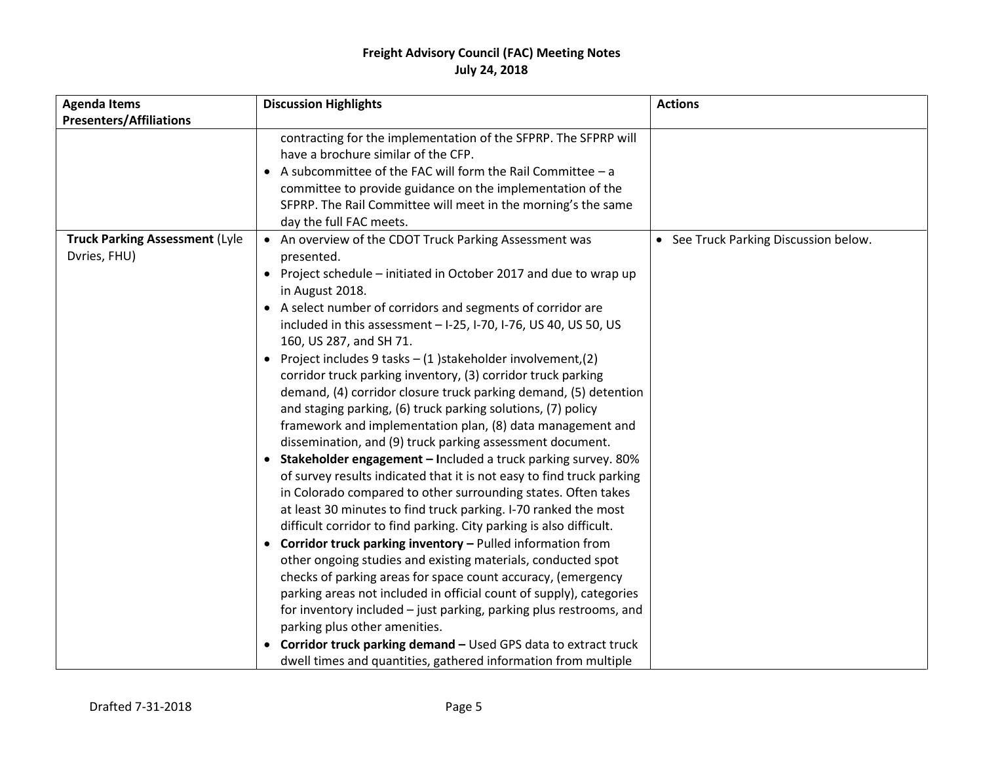| <b>Agenda Items</b>                   | <b>Discussion Highlights</b>                                                                                                                                                                                                                                                                                                                                                                   | <b>Actions</b>                        |
|---------------------------------------|------------------------------------------------------------------------------------------------------------------------------------------------------------------------------------------------------------------------------------------------------------------------------------------------------------------------------------------------------------------------------------------------|---------------------------------------|
| <b>Presenters/Affiliations</b>        |                                                                                                                                                                                                                                                                                                                                                                                                |                                       |
|                                       | contracting for the implementation of the SFPRP. The SFPRP will<br>have a brochure similar of the CFP.<br>• A subcommittee of the FAC will form the Rail Committee $-a$<br>committee to provide guidance on the implementation of the<br>SFPRP. The Rail Committee will meet in the morning's the same<br>day the full FAC meets.                                                              |                                       |
| <b>Truck Parking Assessment (Lyle</b> | • An overview of the CDOT Truck Parking Assessment was                                                                                                                                                                                                                                                                                                                                         | • See Truck Parking Discussion below. |
| Dvries, FHU)                          | presented.<br>• Project schedule – initiated in October 2017 and due to wrap up<br>in August 2018.                                                                                                                                                                                                                                                                                             |                                       |
|                                       | • A select number of corridors and segments of corridor are<br>included in this assessment - I-25, I-70, I-76, US 40, US 50, US<br>160, US 287, and SH 71.                                                                                                                                                                                                                                     |                                       |
|                                       | • Project includes 9 tasks $- (1)$ stakeholder involvement, (2)<br>corridor truck parking inventory, (3) corridor truck parking<br>demand, (4) corridor closure truck parking demand, (5) detention<br>and staging parking, (6) truck parking solutions, (7) policy<br>framework and implementation plan, (8) data management and<br>dissemination, and (9) truck parking assessment document. |                                       |
|                                       | • Stakeholder engagement - Included a truck parking survey. 80%<br>of survey results indicated that it is not easy to find truck parking<br>in Colorado compared to other surrounding states. Often takes<br>at least 30 minutes to find truck parking. I-70 ranked the most<br>difficult corridor to find parking. City parking is also difficult.                                            |                                       |
|                                       | • Corridor truck parking inventory - Pulled information from<br>other ongoing studies and existing materials, conducted spot<br>checks of parking areas for space count accuracy, (emergency<br>parking areas not included in official count of supply), categories<br>for inventory included – just parking, parking plus restrooms, and<br>parking plus other amenities.                     |                                       |
|                                       | • Corridor truck parking demand - Used GPS data to extract truck<br>dwell times and quantities, gathered information from multiple                                                                                                                                                                                                                                                             |                                       |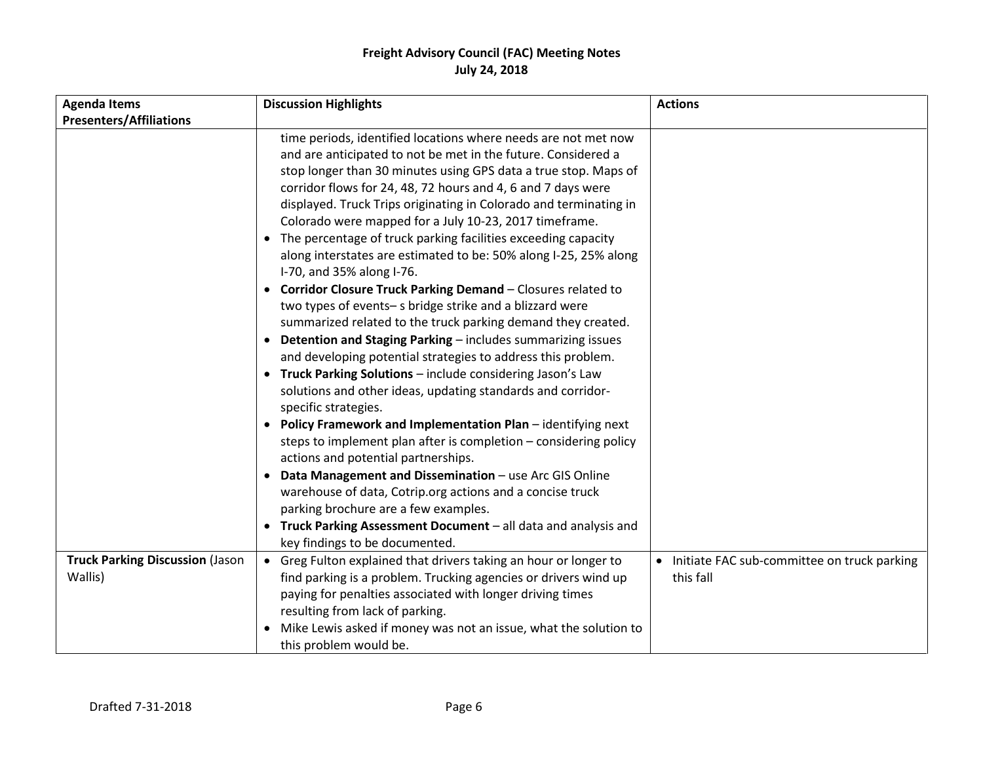| <b>Agenda Items</b>                    | <b>Discussion Highlights</b>                                                                                                                                                                                                                                                                                                                                                                                                                                                                                                                                                                                                                                                                                                                                                                                                                                                                                                                                                                                                                                                                                                                                                                                                                                                                                                                                                                                                                                                                           | <b>Actions</b>                              |  |
|----------------------------------------|--------------------------------------------------------------------------------------------------------------------------------------------------------------------------------------------------------------------------------------------------------------------------------------------------------------------------------------------------------------------------------------------------------------------------------------------------------------------------------------------------------------------------------------------------------------------------------------------------------------------------------------------------------------------------------------------------------------------------------------------------------------------------------------------------------------------------------------------------------------------------------------------------------------------------------------------------------------------------------------------------------------------------------------------------------------------------------------------------------------------------------------------------------------------------------------------------------------------------------------------------------------------------------------------------------------------------------------------------------------------------------------------------------------------------------------------------------------------------------------------------------|---------------------------------------------|--|
| <b>Presenters/Affiliations</b>         |                                                                                                                                                                                                                                                                                                                                                                                                                                                                                                                                                                                                                                                                                                                                                                                                                                                                                                                                                                                                                                                                                                                                                                                                                                                                                                                                                                                                                                                                                                        |                                             |  |
|                                        | time periods, identified locations where needs are not met now<br>and are anticipated to not be met in the future. Considered a<br>stop longer than 30 minutes using GPS data a true stop. Maps of<br>corridor flows for 24, 48, 72 hours and 4, 6 and 7 days were<br>displayed. Truck Trips originating in Colorado and terminating in<br>Colorado were mapped for a July 10-23, 2017 timeframe.<br>• The percentage of truck parking facilities exceeding capacity<br>along interstates are estimated to be: 50% along I-25, 25% along<br>I-70, and 35% along I-76.<br>• Corridor Closure Truck Parking Demand - Closures related to<br>two types of events-s bridge strike and a blizzard were<br>summarized related to the truck parking demand they created.<br>• Detention and Staging Parking - includes summarizing issues<br>and developing potential strategies to address this problem.<br>• Truck Parking Solutions - include considering Jason's Law<br>solutions and other ideas, updating standards and corridor-<br>specific strategies.<br>• Policy Framework and Implementation Plan - identifying next<br>steps to implement plan after is completion - considering policy<br>actions and potential partnerships.<br>Data Management and Dissemination - use Arc GIS Online<br>warehouse of data, Cotrip.org actions and a concise truck<br>parking brochure are a few examples.<br>Truck Parking Assessment Document - all data and analysis and<br>key findings to be documented. |                                             |  |
| <b>Truck Parking Discussion (Jason</b> | • Greg Fulton explained that drivers taking an hour or longer to                                                                                                                                                                                                                                                                                                                                                                                                                                                                                                                                                                                                                                                                                                                                                                                                                                                                                                                                                                                                                                                                                                                                                                                                                                                                                                                                                                                                                                       | Initiate FAC sub-committee on truck parking |  |
| Wallis)                                | find parking is a problem. Trucking agencies or drivers wind up                                                                                                                                                                                                                                                                                                                                                                                                                                                                                                                                                                                                                                                                                                                                                                                                                                                                                                                                                                                                                                                                                                                                                                                                                                                                                                                                                                                                                                        | this fall                                   |  |
|                                        | paying for penalties associated with longer driving times                                                                                                                                                                                                                                                                                                                                                                                                                                                                                                                                                                                                                                                                                                                                                                                                                                                                                                                                                                                                                                                                                                                                                                                                                                                                                                                                                                                                                                              |                                             |  |
|                                        | resulting from lack of parking.                                                                                                                                                                                                                                                                                                                                                                                                                                                                                                                                                                                                                                                                                                                                                                                                                                                                                                                                                                                                                                                                                                                                                                                                                                                                                                                                                                                                                                                                        |                                             |  |
|                                        | • Mike Lewis asked if money was not an issue, what the solution to                                                                                                                                                                                                                                                                                                                                                                                                                                                                                                                                                                                                                                                                                                                                                                                                                                                                                                                                                                                                                                                                                                                                                                                                                                                                                                                                                                                                                                     |                                             |  |
|                                        | this problem would be.                                                                                                                                                                                                                                                                                                                                                                                                                                                                                                                                                                                                                                                                                                                                                                                                                                                                                                                                                                                                                                                                                                                                                                                                                                                                                                                                                                                                                                                                                 |                                             |  |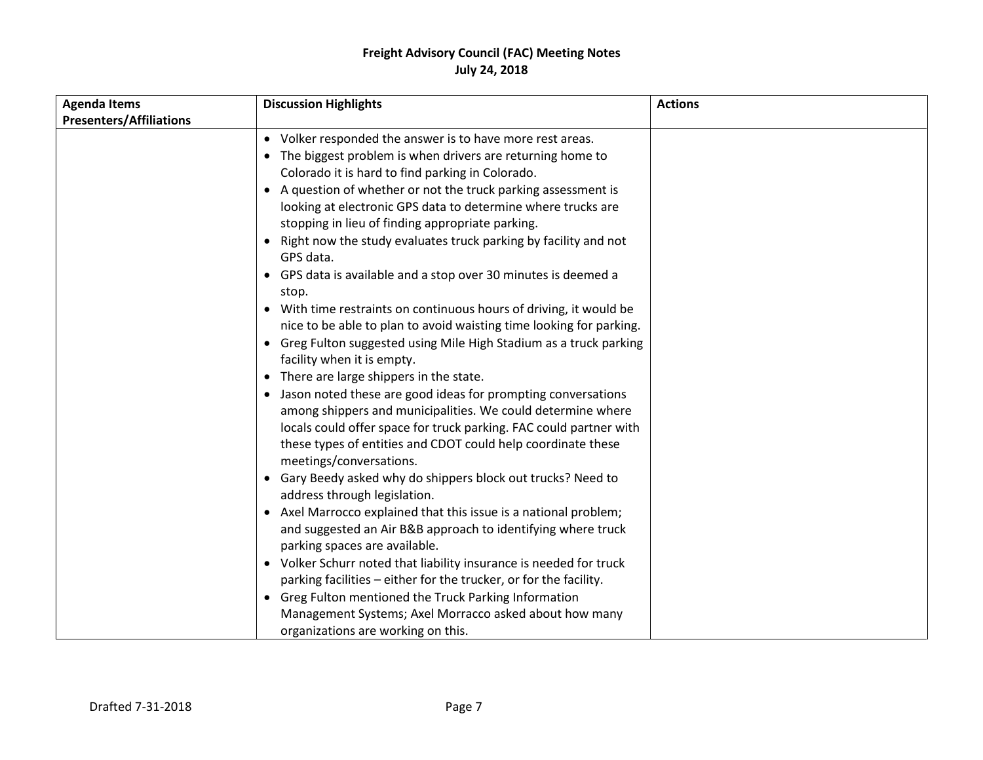| <b>Agenda Items</b>            | <b>Discussion Highlights</b>                                        | <b>Actions</b> |
|--------------------------------|---------------------------------------------------------------------|----------------|
| <b>Presenters/Affiliations</b> |                                                                     |                |
|                                | • Volker responded the answer is to have more rest areas.           |                |
|                                | • The biggest problem is when drivers are returning home to         |                |
|                                | Colorado it is hard to find parking in Colorado.                    |                |
|                                | • A question of whether or not the truck parking assessment is      |                |
|                                | looking at electronic GPS data to determine where trucks are        |                |
|                                | stopping in lieu of finding appropriate parking.                    |                |
|                                | • Right now the study evaluates truck parking by facility and not   |                |
|                                | GPS data.                                                           |                |
|                                | • GPS data is available and a stop over 30 minutes is deemed a      |                |
|                                | stop.                                                               |                |
|                                | • With time restraints on continuous hours of driving, it would be  |                |
|                                | nice to be able to plan to avoid waisting time looking for parking. |                |
|                                | • Greg Fulton suggested using Mile High Stadium as a truck parking  |                |
|                                | facility when it is empty.                                          |                |
|                                | • There are large shippers in the state.                            |                |
|                                | • Jason noted these are good ideas for prompting conversations      |                |
|                                | among shippers and municipalities. We could determine where         |                |
|                                | locals could offer space for truck parking. FAC could partner with  |                |
|                                | these types of entities and CDOT could help coordinate these        |                |
|                                | meetings/conversations.                                             |                |
|                                | • Gary Beedy asked why do shippers block out trucks? Need to        |                |
|                                | address through legislation.                                        |                |
|                                | • Axel Marrocco explained that this issue is a national problem;    |                |
|                                | and suggested an Air B&B approach to identifying where truck        |                |
|                                | parking spaces are available.                                       |                |
|                                | • Volker Schurr noted that liability insurance is needed for truck  |                |
|                                | parking facilities - either for the trucker, or for the facility.   |                |
|                                | • Greg Fulton mentioned the Truck Parking Information               |                |
|                                | Management Systems; Axel Morracco asked about how many              |                |
|                                | organizations are working on this.                                  |                |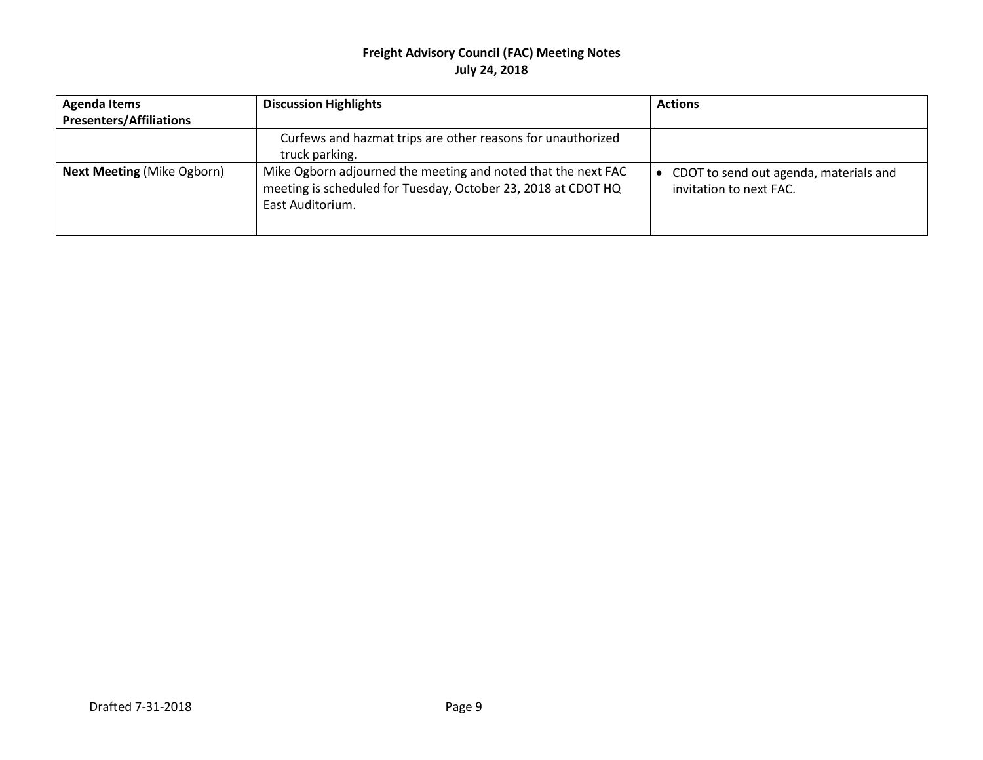| <b>Agenda Items</b>               | <b>Discussion Highlights</b>                                                                                                                       | <b>Actions</b>                                                    |
|-----------------------------------|----------------------------------------------------------------------------------------------------------------------------------------------------|-------------------------------------------------------------------|
| <b>Presenters/Affiliations</b>    |                                                                                                                                                    |                                                                   |
|                                   | Curfews and hazmat trips are other reasons for unauthorized<br>truck parking.                                                                      |                                                                   |
|                                   |                                                                                                                                                    |                                                                   |
| <b>Next Meeting (Mike Ogborn)</b> | Mike Ogborn adjourned the meeting and noted that the next FAC<br>meeting is scheduled for Tuesday, October 23, 2018 at CDOT HQ<br>East Auditorium. | CDOT to send out agenda, materials and<br>invitation to next FAC. |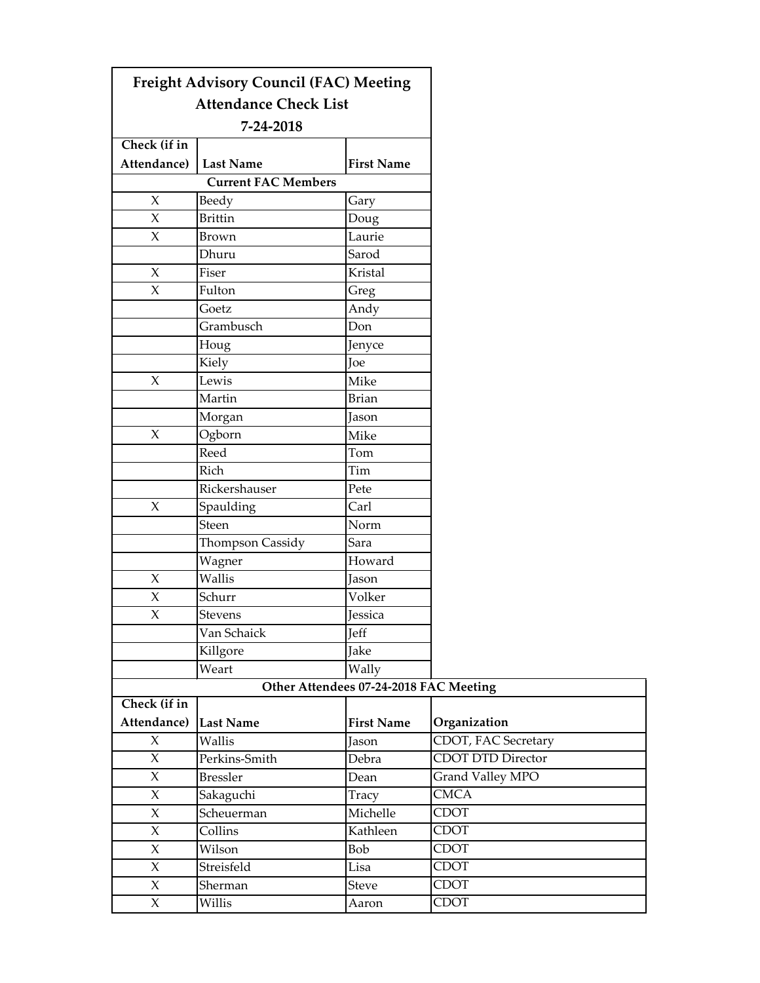|                     | <b>Freight Advisory Council (FAC) Meeting</b> |                                        |                          |
|---------------------|-----------------------------------------------|----------------------------------------|--------------------------|
|                     | <b>Attendance Check List</b>                  |                                        |                          |
|                     | 7-24-2018                                     |                                        |                          |
| Check (if in        |                                               |                                        |                          |
| Attendance)         | <b>Last Name</b>                              | <b>First Name</b>                      |                          |
|                     | <b>Current FAC Members</b>                    |                                        |                          |
| $\chi$              | Beedy                                         | Gary                                   |                          |
| $\mathsf{X}$        | <b>Brittin</b>                                | Doug                                   |                          |
| X                   | Brown                                         | Laurie                                 |                          |
|                     | Dhuru                                         | Sarod                                  |                          |
| $\mathsf{X}$        | Fiser                                         | Kristal                                |                          |
| $\mathsf{X}$        | Fulton                                        | Greg                                   |                          |
|                     | Goetz                                         | Andy                                   |                          |
|                     | Grambusch                                     | Don                                    |                          |
|                     | Houg                                          | Jenyce                                 |                          |
|                     | Kiely                                         | Joe                                    |                          |
| $\mathsf{X}$        | Lewis                                         | Mike                                   |                          |
|                     | Martin                                        | <b>Brian</b>                           |                          |
|                     | Morgan                                        | Jason                                  |                          |
| $\boldsymbol{\chi}$ | Ogborn                                        | Mike                                   |                          |
|                     | Reed                                          | Tom                                    |                          |
|                     | Rich                                          | Tim                                    |                          |
|                     | Rickershauser                                 | Pete                                   |                          |
| $\mathsf{X}$        | Spaulding                                     | Carl                                   |                          |
|                     | Steen                                         | Norm                                   |                          |
|                     | Thompson Cassidy                              | Sara                                   |                          |
|                     | Wagner                                        | Howard                                 |                          |
| X                   | Wallis                                        | Jason                                  |                          |
| $\chi$              | Schurr                                        | Volker                                 |                          |
| $\boldsymbol{\chi}$ | Stevens                                       | Jessica                                |                          |
|                     | Van Schaick                                   | Jeff                                   |                          |
|                     | Killgore                                      | Jake                                   |                          |
|                     | Weart                                         | Wally                                  |                          |
|                     |                                               | Other Attendees 07-24-2018 FAC Meeting |                          |
| Check (if in        |                                               |                                        |                          |
| Attendance)         | Last Name                                     | <b>First Name</b>                      | Organization             |
| $\chi$              | Wallis                                        | Jason                                  | CDOT, FAC Secretary      |
| $\chi$              | Perkins-Smith                                 | Debra                                  | <b>CDOT DTD Director</b> |
| $\chi$              | <b>Bressler</b>                               | Dean                                   | Grand Valley MPO         |
| X                   | Sakaguchi                                     | Tracy                                  | <b>CMCA</b>              |
| $\chi$              | Scheuerman                                    | Michelle                               | <b>CDOT</b>              |
| X                   | Collins                                       | Kathleen                               | <b>CDOT</b>              |
| $\chi$              | Wilson                                        | Bob                                    | <b>CDOT</b>              |
| $\chi$              | Streisfeld                                    | Lisa                                   | <b>CDOT</b>              |
| X                   | Sherman                                       | Steve                                  | <b>CDOT</b>              |
| $\boldsymbol{\chi}$ | Willis                                        | Aaron                                  | <b>CDOT</b>              |